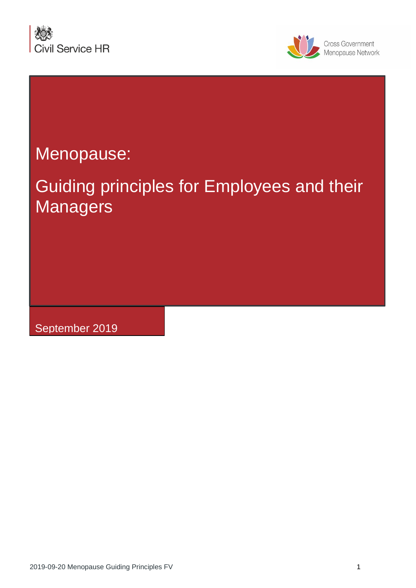



# Menopause:

# Guiding principles for Employees and their **Managers**

September 2019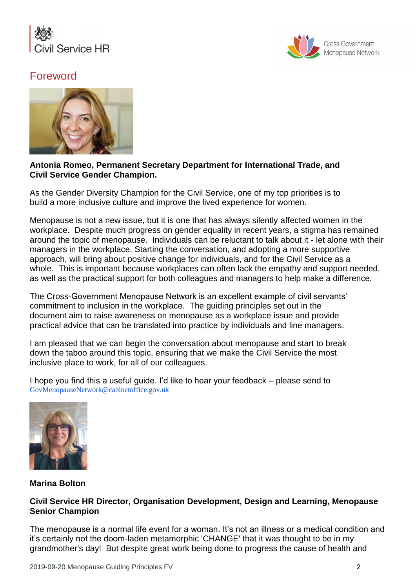



## Foreword



#### **Antonia Romeo, Permanent Secretary Department for International Trade, and Civil Service Gender Champion.**

As the Gender Diversity Champion for the Civil Service, one of my top priorities is to build a more inclusive culture and improve the lived experience for women.

Menopause is not a new issue, but it is one that has always silently affected women in the workplace. Despite much progress on gender equality in recent years, a stigma has remained around the topic of menopause. Individuals can be reluctant to talk about it - let alone with their managers in the workplace. Starting the conversation, and adopting a more supportive approach, will bring about positive change for individuals, and for the Civil Service as a whole. This is important because workplaces can often lack the empathy and support needed, as well as the practical support for both colleagues and managers to help make a difference.

The Cross-Government Menopause Network is an excellent example of civil servants' commitment to inclusion in the workplace. The guiding principles set out in the document aim to raise awareness on menopause as a workplace issue and provide practical advice that can be translated into practice by individuals and line managers.

I am pleased that we can begin the conversation about menopause and start to break down the taboo around this topic, ensuring that we make the Civil Service the most inclusive place to work, for all of our colleagues.

I hope you find this a useful guide. I'd like to hear your feedback – please send to [GovMenopauseNetwork@cabinetoffice.gov.uk](mailto:GovMenopauseNetwork@cabinetoffice.gov.uk)



#### **Marina Bolton**

#### **Civil Service HR Director, Organisation Development, Design and Learning, Menopause Senior Champion**

The menopause is a normal life event for a woman. It's not an illness or a medical condition and it's certainly not the doom-laden metamorphic 'CHANGE' that it was thought to be in my grandmother's day! But despite great work being done to progress the cause of health and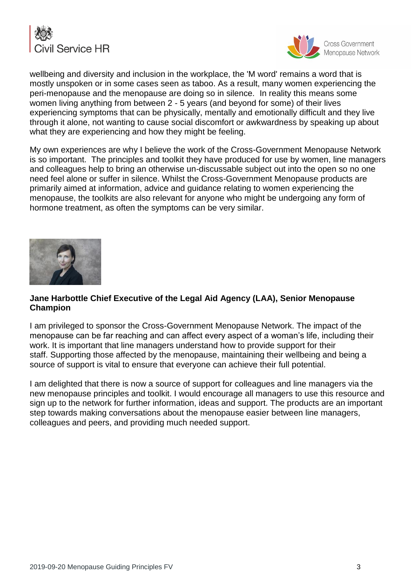



wellbeing and diversity and inclusion in the workplace, the 'M word' remains a word that is mostly unspoken or in some cases seen as taboo. As a result, many women experiencing the peri-menopause and the menopause are doing so in silence. In reality this means some women living anything from between 2 - 5 years (and beyond for some) of their lives experiencing symptoms that can be physically, mentally and emotionally difficult and they live through it alone, not wanting to cause social discomfort or awkwardness by speaking up about what they are experiencing and how they might be feeling.

My own experiences are why I believe the work of the Cross-Government Menopause Network is so important. The principles and toolkit they have produced for use by women, line managers and colleagues help to bring an otherwise un-discussable subject out into the open so no one need feel alone or suffer in silence. Whilst the Cross-Government Menopause products are primarily aimed at information, advice and guidance relating to women experiencing the menopause, the toolkits are also relevant for anyone who might be undergoing any form of hormone treatment, as often the symptoms can be very similar.



#### **Jane Harbottle Chief Executive of the Legal Aid Agency (LAA), Senior Menopause Champion**

I am privileged to sponsor the Cross-Government Menopause Network. The impact of the menopause can be far reaching and can affect every aspect of a woman's life, including their work. It is important that line managers understand how to provide support for their staff. Supporting those affected by the menopause, maintaining their wellbeing and being a source of support is vital to ensure that everyone can achieve their full potential.

I am delighted that there is now a source of support for colleagues and line managers via the new menopause principles and toolkit. I would encourage all managers to use this resource and sign up to the network for further information, ideas and support. The products are an important step towards making conversations about the menopause easier between line managers, colleagues and peers, and providing much needed support.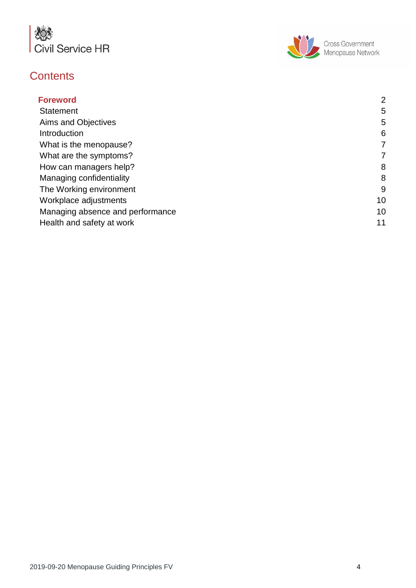

# **Contents**



| <b>Foreword</b>                  | $\overline{2}$ |
|----------------------------------|----------------|
| <b>Statement</b>                 | 5              |
| Aims and Objectives              | 5              |
| Introduction                     | 6              |
| What is the menopause?           | 7              |
| What are the symptoms?           | 7              |
| How can managers help?           | 8              |
| Managing confidentiality         | 8              |
| The Working environment          | 9              |
| Workplace adjustments            | 10             |
| Managing absence and performance | 10             |
| Health and safety at work        | 11             |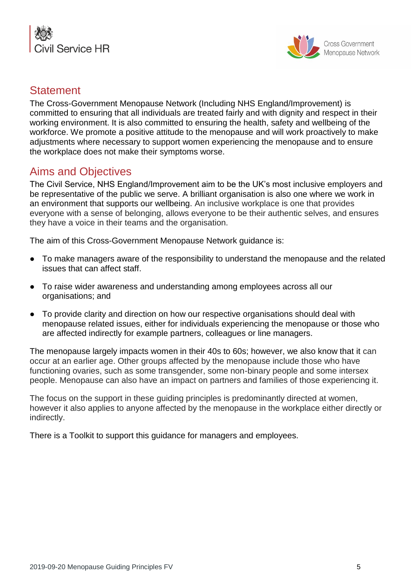



#### **Statement**

The Cross-Government Menopause Network (Including NHS England/Improvement) is committed to ensuring that all individuals are treated fairly and with dignity and respect in their working environment. It is also committed to ensuring the health, safety and wellbeing of the workforce. We promote a positive attitude to the menopause and will work proactively to make adjustments where necessary to support women experiencing the menopause and to ensure the workplace does not make their symptoms worse.

## <span id="page-4-0"></span>Aims and Objectives

The Civil Service, NHS England/Improvement aim to be the UK's most inclusive employers and be representative of the public we serve. A brilliant organisation is also one where we work in an environment that supports our wellbeing. An inclusive workplace is one that provides everyone with a sense of belonging, allows everyone to be their authentic selves, and ensures they have a voice in their teams and the organisation.

The aim of this Cross-Government Menopause Network guidance is:

- To make managers aware of the responsibility to understand the menopause and the related issues that can affect staff.
- To raise wider awareness and understanding among employees across all our organisations; and
- To provide clarity and direction on how our respective organisations should deal with menopause related issues, either for individuals experiencing the menopause or those who are affected indirectly for example partners, colleagues or line managers.

The menopause largely impacts women in their 40s to 60s; however, we also know that it can occur at an earlier age. Other groups affected by the menopause include those who have functioning ovaries, such as some transgender, some non-binary people and some intersex people. Menopause can also have an impact on partners and families of those experiencing it.

The focus on the support in these guiding principles is predominantly directed at women, however it also applies to anyone affected by the menopause in the workplace either directly or indirectly.

There is a Toolkit to support this guidance for managers and employees.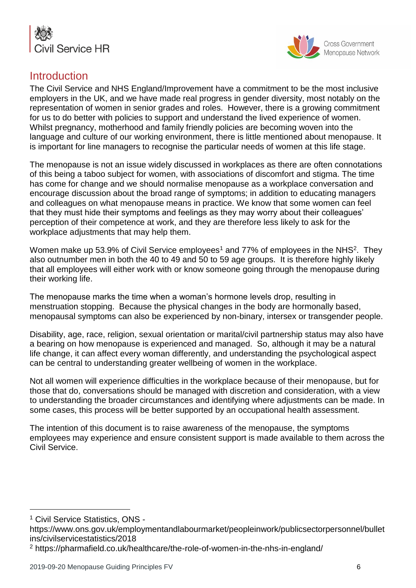



#### <span id="page-5-0"></span>Introduction

The Civil Service and NHS England/Improvement have a commitment to be the most inclusive employers in the UK, and we have made real progress in gender diversity, most notably on the representation of women in senior grades and roles. However, there is a growing commitment for us to do better with policies to support and understand the lived experience of women. Whilst pregnancy, motherhood and family friendly policies are becoming woven into the language and culture of our working environment, there is little mentioned about menopause. It is important for line managers to recognise the particular needs of women at this life stage.

The menopause is not an issue widely discussed in workplaces as there are often connotations of this being a taboo subject for women, with associations of discomfort and stigma. The time has come for change and we should normalise menopause as a workplace conversation and encourage discussion about the broad range of symptoms; in addition to educating managers and colleagues on what menopause means in practice. We know that some women can feel that they must hide their symptoms and feelings as they may worry about their colleagues' perception of their competence at work, and they are therefore less likely to ask for the workplace adjustments that may help them.

Women make up 53.9% of Civil Service employees<sup>1</sup> and 77% of employees in the NHS<sup>2</sup>. They also outnumber men in both the 40 to 49 and 50 to 59 age groups. It is therefore highly likely that all employees will either work with or know someone going through the menopause during their working life.

The menopause marks the time when a woman's hormone levels drop, resulting in menstruation stopping. Because the physical changes in the body are hormonally based, menopausal symptoms can also be experienced by non-binary, intersex or transgender people.

Disability, age, race, religion, sexual orientation or marital/civil partnership status may also have a bearing on how menopause is experienced and managed. So, although it may be a natural life change, it can affect every woman differently, and understanding the psychological aspect can be central to understanding greater wellbeing of women in the workplace.

Not all women will experience difficulties in the workplace because of their menopause, but for those that do, conversations should be managed with discretion and consideration, with a view to understanding the broader circumstances and identifying where adjustments can be made. In some cases, this process will be better supported by an occupational health assessment.

The intention of this document is to raise awareness of the menopause, the symptoms employees may experience and ensure consistent support is made available to them across the Civil Service.

l

<sup>&</sup>lt;sup>1</sup> Civil Service Statistics, ONS -

https://www.ons.gov.uk/employmentandlabourmarket/peopleinwork/publicsectorpersonnel/bullet ins/civilservicestatistics/2018

<sup>2</sup> https://pharmafield.co.uk/healthcare/the-role-of-women-in-the-nhs-in-england/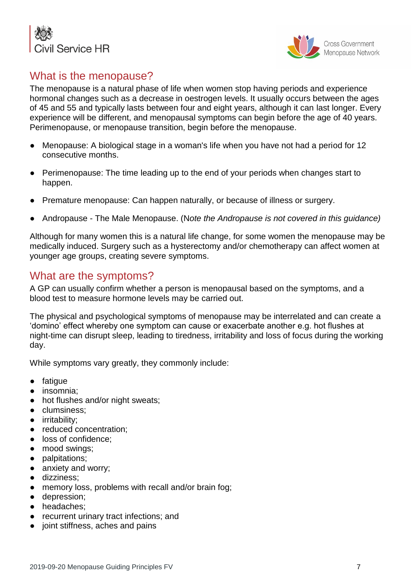



## <span id="page-6-0"></span>What is the menopause?

The menopause is a natural phase of life when women stop having periods and experience hormonal changes such as a decrease in oestrogen levels. It usually occurs between the ages of 45 and 55 and typically lasts between four and eight years, although it can last longer. Every experience will be different, and menopausal symptoms can begin before the age of 40 years. Perimenopause, or menopause transition, begin before the menopause.

- Menopause: A biological stage in a woman's life when you have not had a period for 12 consecutive months.
- Perimenopause: The time leading up to the end of your periods when changes start to happen.
- Premature menopause: Can happen naturally, or because of illness or surgery.
- Andropause The Male Menopause. (N*ote the Andropause is not covered in this guidance)*

Although for many women this is a natural life change, for some women the menopause may be medically induced. Surgery such as a hysterectomy and/or chemotherapy can affect women at younger age groups, creating severe symptoms.

## <span id="page-6-1"></span>What are the symptoms?

A GP can usually confirm whether a person is menopausal based on the symptoms, and a blood test to measure hormone levels may be carried out.

The physical and psychological symptoms of menopause may be interrelated and can create a 'domino' effect whereby one symptom can cause or exacerbate another e.g. hot flushes at night-time can disrupt sleep, leading to tiredness, irritability and loss of focus during the working day.

While symptoms vary greatly, they commonly include:

- fatigue
- insomnia;
- hot flushes and/or night sweats;
- clumsiness;
- irritability;
- reduced concentration;
- loss of confidence;
- mood swings:
- palpitations;
- anxiety and worry;
- dizziness;
- memory loss, problems with recall and/or brain fog;
- depression;
- headaches;
- recurrent urinary tract infections; and
- joint stiffness, aches and pains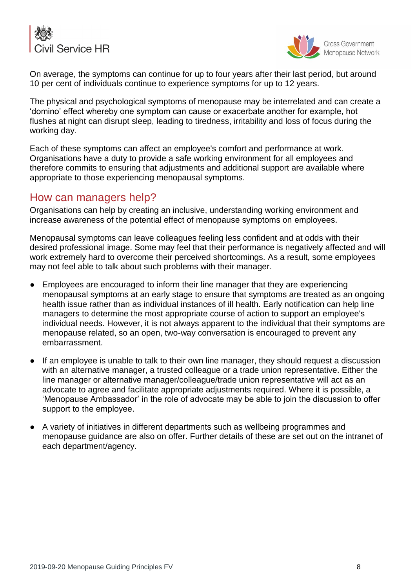



On average, the symptoms can continue for up to four years after their last period, but around 10 per cent of individuals continue to experience symptoms for up to 12 years.

The physical and psychological symptoms of menopause may be interrelated and can create a 'domino' effect whereby one symptom can cause or exacerbate another for example, hot flushes at night can disrupt sleep, leading to tiredness, irritability and loss of focus during the working day.

Each of these symptoms can affect an employee's comfort and performance at work. Organisations have a duty to provide a safe working environment for all employees and therefore commits to ensuring that adjustments and additional support are available where appropriate to those experiencing menopausal symptoms.

#### <span id="page-7-0"></span>How can managers help?

Organisations can help by creating an inclusive, understanding working environment and increase awareness of the potential effect of menopause symptoms on employees.

Menopausal symptoms can leave colleagues feeling less confident and at odds with their desired professional image. Some may feel that their performance is negatively affected and will work extremely hard to overcome their perceived shortcomings. As a result, some employees may not feel able to talk about such problems with their manager.

- Employees are encouraged to inform their line manager that they are experiencing menopausal symptoms at an early stage to ensure that symptoms are treated as an ongoing health issue rather than as individual instances of ill health. Early notification can help line managers to determine the most appropriate course of action to support an employee's individual needs. However, it is not always apparent to the individual that their symptoms are menopause related, so an open, two-way conversation is encouraged to prevent any embarrassment.
- If an employee is unable to talk to their own line manager, they should request a discussion with an alternative manager, a trusted colleague or a trade union representative. Either the line manager or alternative manager/colleague/trade union representative will act as an advocate to agree and facilitate appropriate adjustments required. Where it is possible, a 'Menopause Ambassador' in the role of advocate may be able to join the discussion to offer support to the employee.
- A variety of initiatives in different departments such as wellbeing programmes and menopause guidance are also on offer. Further details of these are set out on the intranet of each department/agency.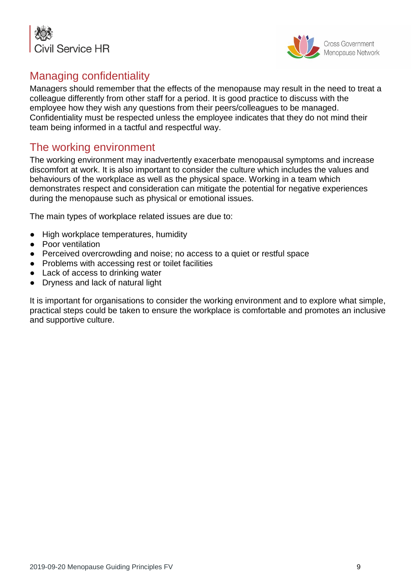



# <span id="page-8-0"></span>Managing confidentiality

Managers should remember that the effects of the menopause may result in the need to treat a colleague differently from other staff for a period. It is good practice to discuss with the employee how they wish any questions from their peers/colleagues to be managed. Confidentiality must be respected unless the employee indicates that they do not mind their team being informed in a tactful and respectful way.

## The working environment

The working environment may inadvertently exacerbate menopausal symptoms and increase discomfort at work. It is also important to consider the culture which includes the values and behaviours of the workplace as well as the physical space. Working in a team which demonstrates respect and consideration can mitigate the potential for negative experiences during the menopause such as physical or emotional issues.

The main types of workplace related issues are due to:

- High workplace temperatures, humidity
- Poor ventilation
- Perceived overcrowding and noise; no access to a quiet or restful space
- Problems with accessing rest or toilet facilities
- Lack of access to drinking water
- Dryness and lack of natural light

It is important for organisations to consider the working environment and to explore what simple, practical steps could be taken to ensure the workplace is comfortable and promotes an inclusive and supportive culture.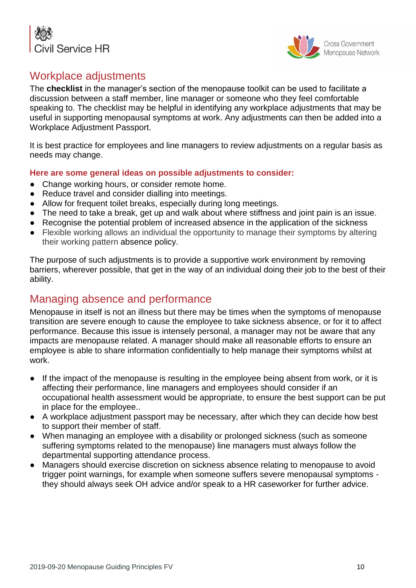



## <span id="page-9-0"></span>Workplace adjustments

The **checklist** in the manager's section of the menopause toolkit can be used to facilitate a discussion between a staff member, line manager or someone who they feel comfortable speaking to. The checklist may be helpful in identifying any workplace adjustments that may be useful in supporting menopausal symptoms at work. Any adjustments can then be added into a Workplace Adjustment Passport.

It is best practice for employees and line managers to review adjustments on a regular basis as needs may change.

#### **Here are some general ideas on possible adjustments to consider:**

- Change working hours, or consider remote home.
- Reduce travel and consider dialling into meetings.
- Allow for frequent toilet breaks, especially during long meetings.
- The need to take a break, get up and walk about where stiffness and joint pain is an issue.
- Recognise the potential problem of increased absence in the application of the sickness
- Flexible working allows an individual the opportunity to manage their symptoms by altering their working pattern absence policy.

The purpose of such adjustments is to provide a supportive work environment by removing barriers, wherever possible, that get in the way of an individual doing their job to the best of their ability.

# <span id="page-9-1"></span>Managing absence and performance

Menopause in itself is not an illness but there may be times when the symptoms of menopause transition are severe enough to cause the employee to take sickness absence, or for it to affect performance. Because this issue is intensely personal, a manager may not be aware that any impacts are menopause related. A manager should make all reasonable efforts to ensure an employee is able to share information confidentially to help manage their symptoms whilst at work.

- If the impact of the menopause is resulting in the employee being absent from work, or it is affecting their performance, line managers and employees should consider if an occupational health assessment would be appropriate, to ensure the best support can be put in place for the employee..
- A workplace adjustment passport may be necessary, after which they can decide how best to support their member of staff.
- When managing an employee with a disability or prolonged sickness (such as someone suffering symptoms related to the menopause) line managers must always follow the departmental supporting attendance process.
- Managers should exercise discretion on sickness absence relating to menopause to avoid trigger point warnings, for example when someone suffers severe menopausal symptoms they should always seek OH advice and/or speak to a HR caseworker for further advice.